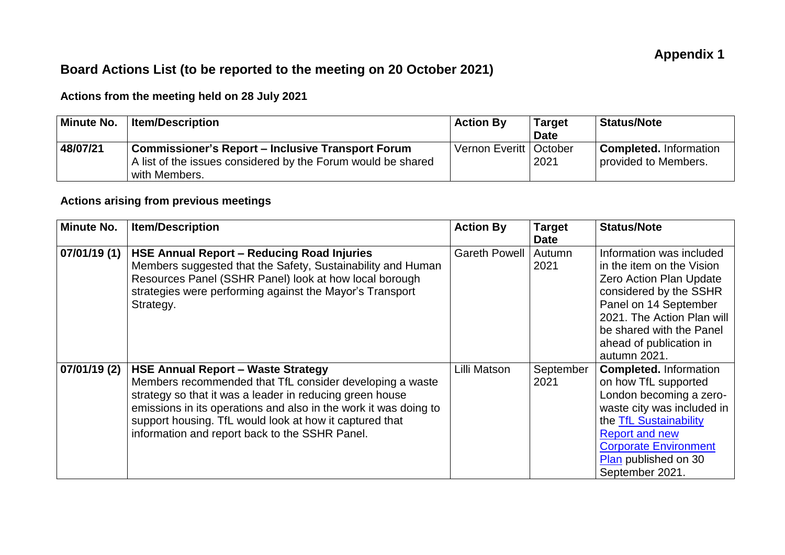## **Board Actions List (to be reported to the meeting on 20 October 2021)**

## **Actions from the meeting held on 28 July 2021**

| <b>Minute No.</b> | <b>Item/Description</b>                                      | $\overline{\phantom{a}}$ Action By | <b>Target</b> | Status/Note                   |
|-------------------|--------------------------------------------------------------|------------------------------------|---------------|-------------------------------|
|                   |                                                              |                                    | <b>Date</b>   |                               |
| 48/07/21          | Commissioner's Report – Inclusive Transport Forum            | Vernon Everitt   October           |               | <b>Completed.</b> Information |
|                   | A list of the issues considered by the Forum would be shared |                                    | 2021          | provided to Members.          |
|                   | with Members.                                                |                                    |               |                               |

## **Actions arising from previous meetings**

| <b>Minute No.</b> | <b>Item/Description</b>                                                                                                                                                                                                                                                                                                                            | <b>Action By</b>     | <b>Target</b><br><b>Date</b> | <b>Status/Note</b>                                                                                                                                                                                                                              |
|-------------------|----------------------------------------------------------------------------------------------------------------------------------------------------------------------------------------------------------------------------------------------------------------------------------------------------------------------------------------------------|----------------------|------------------------------|-------------------------------------------------------------------------------------------------------------------------------------------------------------------------------------------------------------------------------------------------|
| 07/01/19 (1)      | <b>HSE Annual Report - Reducing Road Injuries</b><br>Members suggested that the Safety, Sustainability and Human<br>Resources Panel (SSHR Panel) look at how local borough<br>strategies were performing against the Mayor's Transport<br>Strategy.                                                                                                | <b>Gareth Powell</b> | Autumn<br>2021               | Information was included<br>in the item on the Vision<br><b>Zero Action Plan Update</b><br>considered by the SSHR<br>Panel on 14 September<br>2021. The Action Plan will<br>be shared with the Panel<br>ahead of publication in<br>autumn 2021. |
| 07/01/19 (2)      | <b>HSE Annual Report - Waste Strategy</b><br>Members recommended that TfL consider developing a waste<br>strategy so that it was a leader in reducing green house<br>emissions in its operations and also in the work it was doing to<br>support housing. TfL would look at how it captured that<br>information and report back to the SSHR Panel. | Lilli Matson         | September<br>2021            | <b>Completed.</b> Information<br>on how TfL supported<br>London becoming a zero-<br>waste city was included in<br>the TfL Sustainability<br><b>Report and new</b><br><b>Corporate Environment</b><br>Plan published on 30<br>September 2021.    |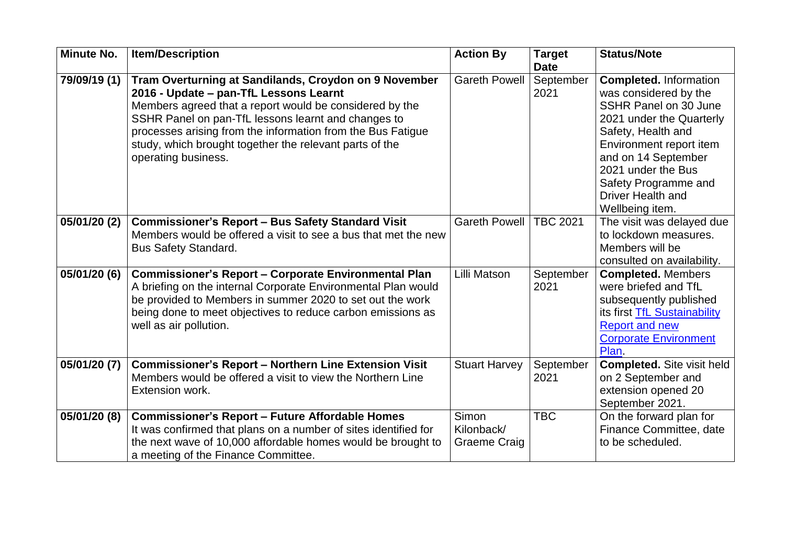| <b>Minute No.</b> | <b>Item/Description</b>                                                                                                    | <b>Action By</b>     | <b>Target</b>     | <b>Status/Note</b>                                |
|-------------------|----------------------------------------------------------------------------------------------------------------------------|----------------------|-------------------|---------------------------------------------------|
|                   |                                                                                                                            |                      | <b>Date</b>       |                                                   |
| 79/09/19 (1)      | Tram Overturning at Sandilands, Croydon on 9 November                                                                      | <b>Gareth Powell</b> | September         | <b>Completed. Information</b>                     |
|                   | 2016 - Update – pan-TfL Lessons Learnt                                                                                     |                      | 2021              | was considered by the                             |
|                   | Members agreed that a report would be considered by the                                                                    |                      |                   | SSHR Panel on 30 June                             |
|                   | SSHR Panel on pan-TfL lessons learnt and changes to                                                                        |                      |                   | 2021 under the Quarterly                          |
|                   | processes arising from the information from the Bus Fatigue                                                                |                      |                   | Safety, Health and                                |
|                   | study, which brought together the relevant parts of the                                                                    |                      |                   | Environment report item                           |
|                   | operating business.                                                                                                        |                      |                   | and on 14 September                               |
|                   |                                                                                                                            |                      |                   | 2021 under the Bus                                |
|                   |                                                                                                                            |                      |                   | Safety Programme and                              |
|                   |                                                                                                                            |                      |                   | <b>Driver Health and</b>                          |
|                   |                                                                                                                            |                      |                   | Wellbeing item.                                   |
| 05/01/20 (2)      | <b>Commissioner's Report - Bus Safety Standard Visit</b>                                                                   | <b>Gareth Powell</b> | <b>TBC 2021</b>   | The visit was delayed due                         |
|                   | Members would be offered a visit to see a bus that met the new                                                             |                      |                   | to lockdown measures.<br>Members will be          |
|                   | <b>Bus Safety Standard.</b>                                                                                                |                      |                   |                                                   |
|                   |                                                                                                                            | Lilli Matson         |                   | consulted on availability.                        |
| 05/01/20 (6)      | <b>Commissioner's Report - Corporate Environmental Plan</b>                                                                |                      | September<br>2021 | <b>Completed. Members</b><br>were briefed and TfL |
|                   | A briefing on the internal Corporate Environmental Plan would<br>be provided to Members in summer 2020 to set out the work |                      |                   | subsequently published                            |
|                   | being done to meet objectives to reduce carbon emissions as                                                                |                      |                   | its first TfL Sustainability                      |
|                   | well as air pollution.                                                                                                     |                      |                   | <b>Report and new</b>                             |
|                   |                                                                                                                            |                      |                   | <b>Corporate Environment</b>                      |
|                   |                                                                                                                            |                      |                   | Plan.                                             |
| 05/01/20 (7)      | <b>Commissioner's Report - Northern Line Extension Visit</b>                                                               | <b>Stuart Harvey</b> | September         | <b>Completed.</b> Site visit held                 |
|                   | Members would be offered a visit to view the Northern Line                                                                 |                      | 2021              | on 2 September and                                |
|                   | Extension work.                                                                                                            |                      |                   | extension opened 20                               |
|                   |                                                                                                                            |                      |                   | September 2021.                                   |
| 05/01/20 (8)      | <b>Commissioner's Report - Future Affordable Homes</b>                                                                     | Simon                | <b>TBC</b>        | On the forward plan for                           |
|                   | It was confirmed that plans on a number of sites identified for                                                            | Kilonback/           |                   | Finance Committee, date                           |
|                   | the next wave of 10,000 affordable homes would be brought to                                                               | Graeme Craig         |                   | to be scheduled.                                  |
|                   | a meeting of the Finance Committee.                                                                                        |                      |                   |                                                   |